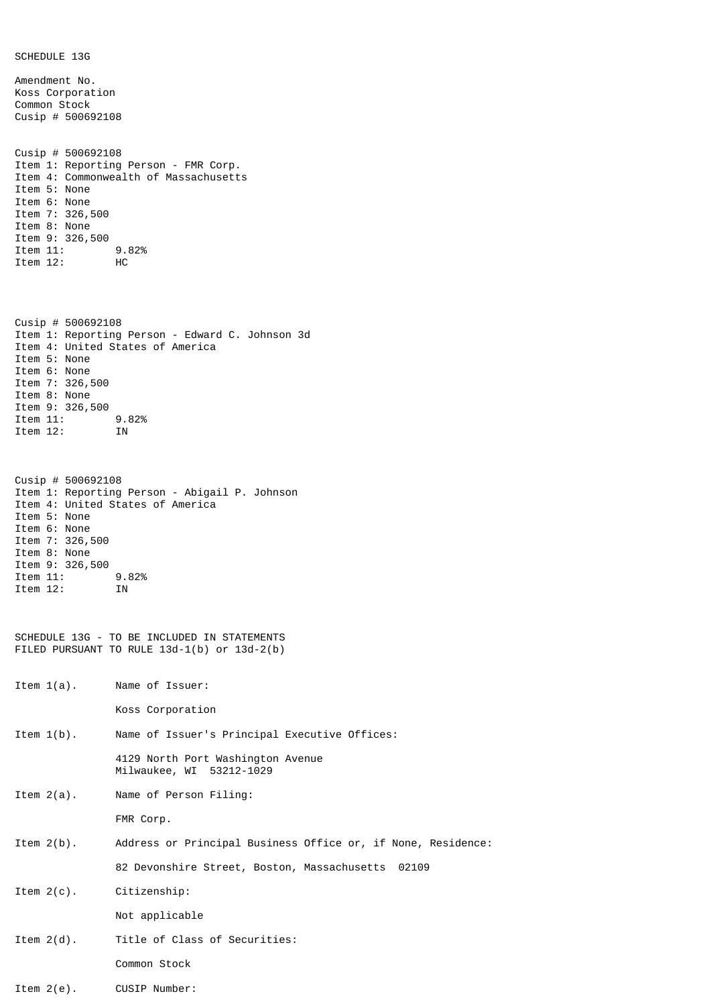SCHEDULE 13G Amendment No. Koss Corporation Common Stock Cusip # 500692108 Cusip # 500692108 Item 1: Reporting Person - FMR Corp. Item 4: Commonwealth of Massachusetts Item 5: None Item 6: None Item 7: 326,500 Item 8: None Item 9: 326,500 Item 11: 9.82%<br>Item 12: HC Item  $12$ : Cusip # 500692108 Item 1: Reporting Person - Edward C. Johnson 3d Item 4: United States of America Item 5: None Item 6: None Item 7: 326,500 Item 8: None Item 9: 326,500<br>Item 11: 9.82% Item 11: 9.82% Item 12: IN Cusip # 500692108 Item 1: Reporting Person - Abigail P. Johnson Item 4: United States of America Item 5: None Item 6: None Item 7: 326,500 Item 8: None Item 9: 326,500<br>Item 11: 9.82% Item 11: 9.82% Item 12: IN SCHEDULE 13G - TO BE INCLUDED IN STATEMENTS FILED PURSUANT TO RULE 13d-1(b) or 13d-2(b) Item 1(a). Name of Issuer: Koss Corporation Item 1(b). Name of Issuer's Principal Executive Offices: 4129 North Port Washington Avenue Milwaukee, WI 53212-1029 Item 2(a). Name of Person Filing: FMR Corp. Item 2(b). Address or Principal Business Office or, if None, Residence: 82 Devonshire Street, Boston, Massachusetts 02109 Item 2(c). Citizenship: Not applicable Item 2(d). Title of Class of Securities: Common Stock

Item  $2(e)$ . CUSIP Number: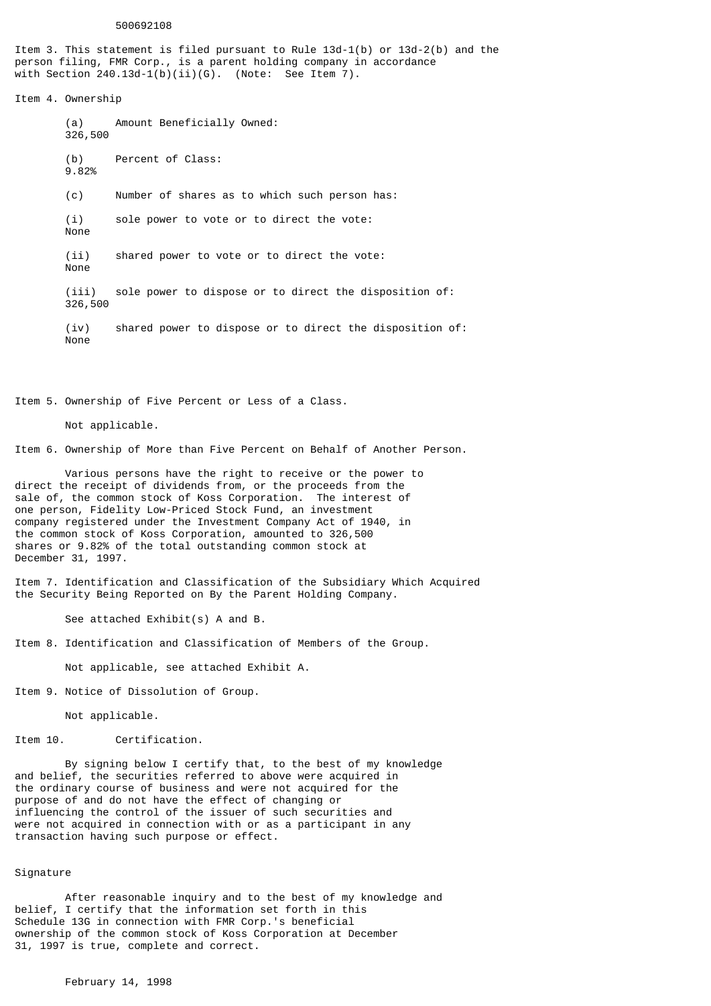## 500692108

Item 3. This statement is filed pursuant to Rule 13d-1(b) or 13d-2(b) and the person filing, FMR Corp., is a parent holding company in accordance with Section  $240.13d-1(b)(ii)(G)$ . (Note: See Item 7).

Item 4. Ownership

(a) Amount Beneficially Owned: 326,500 (b) Percent of Class: 9.82% (c) Number of shares as to which such person has: (i) sole power to vote or to direct the vote: None (ii) shared power to vote or to direct the vote: None (iii) sole power to dispose or to direct the disposition of: 326,500 (iv) shared power to dispose or to direct the disposition of: None

Item 5. Ownership of Five Percent or Less of a Class.

Not applicable.

Item 6. Ownership of More than Five Percent on Behalf of Another Person.

Various persons have the right to receive or the power to direct the receipt of dividends from, or the proceeds from the sale of, the common stock of Koss Corporation. The interest of one person, Fidelity Low-Priced Stock Fund, an investment company registered under the Investment Company Act of 1940, in the common stock of Koss Corporation, amounted to 326,500 shares or 9.82% of the total outstanding common stock at December 31, 1997.

Item 7. Identification and Classification of the Subsidiary Which Acquired the Security Being Reported on By the Parent Holding Company.

See attached Exhibit(s) A and B.

Item 8. Identification and Classification of Members of the Group.

Not applicable, see attached Exhibit A.

Item 9. Notice of Dissolution of Group.

Not applicable.

Item 10. Certification.

By signing below I certify that, to the best of my knowledge and belief, the securities referred to above were acquired in the ordinary course of business and were not acquired for the purpose of and do not have the effect of changing or influencing the control of the issuer of such securities and were not acquired in connection with or as a participant in any transaction having such purpose or effect.

## Signature

After reasonable inquiry and to the best of my knowledge and belief, I certify that the information set forth in this Schedule 13G in connection with FMR Corp.'s beneficial ownership of the common stock of Koss Corporation at December 31, 1997 is true, complete and correct.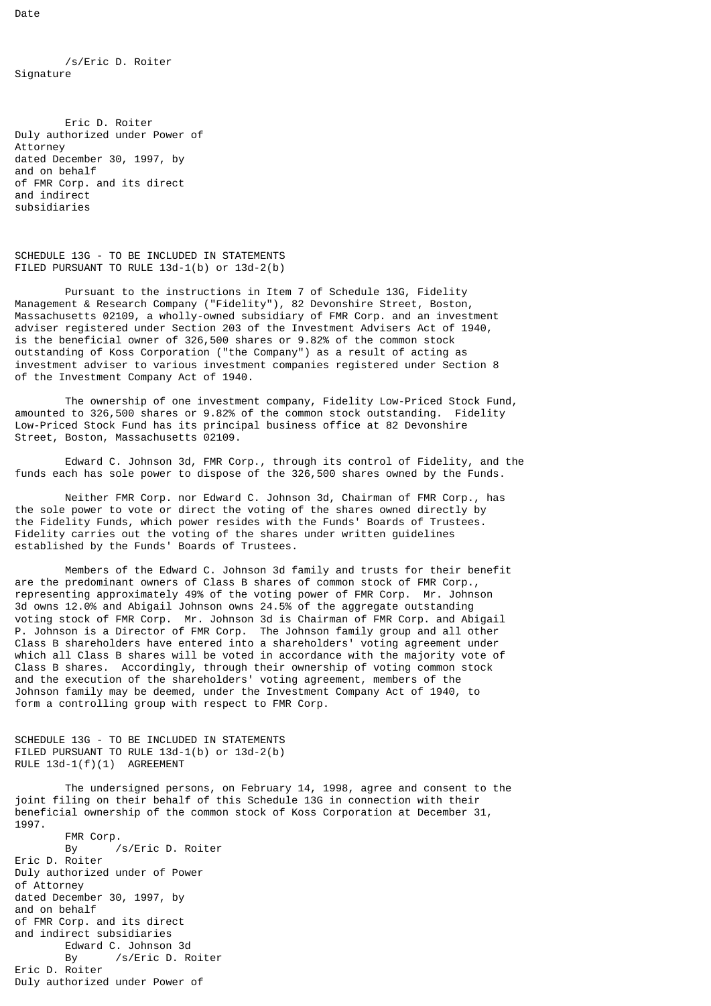/s/Eric D. Roiter Signature

Eric D. Roiter Duly authorized under Power of Attorney dated December 30, 1997, by and on behalf of FMR Corp. and its direct and indirect subsidiaries

```
SCHEDULE 13G - TO BE INCLUDED IN STATEMENTS 
FILED PURSUANT TO RULE 13d-1(b) or 13d-2(b)
```
Pursuant to the instructions in Item 7 of Schedule 13G, Fidelity Management & Research Company ("Fidelity"), 82 Devonshire Street, Boston, Massachusetts 02109, a wholly-owned subsidiary of FMR Corp. and an investment adviser registered under Section 203 of the Investment Advisers Act of 1940, is the beneficial owner of 326,500 shares or 9.82% of the common stock outstanding of Koss Corporation ("the Company") as a result of acting as investment adviser to various investment companies registered under Section 8 of the Investment Company Act of 1940.

The ownership of one investment company, Fidelity Low-Priced Stock Fund, amounted to 326,500 shares or 9.82% of the common stock outstanding. Fidelity Low-Priced Stock Fund has its principal business office at 82 Devonshire Street, Boston, Massachusetts 02109.

Edward C. Johnson 3d, FMR Corp., through its control of Fidelity, and the funds each has sole power to dispose of the 326,500 shares owned by the Funds.

Neither FMR Corp. nor Edward C. Johnson 3d, Chairman of FMR Corp., has the sole power to vote or direct the voting of the shares owned directly by the Fidelity Funds, which power resides with the Funds' Boards of Trustees. Fidelity carries out the voting of the shares under written guidelines established by the Funds' Boards of Trustees.

Members of the Edward C. Johnson 3d family and trusts for their benefit are the predominant owners of Class B shares of common stock of FMR Corp., representing approximately 49% of the voting power of FMR Corp. Mr. Johnson 3d owns 12.0% and Abigail Johnson owns 24.5% of the aggregate outstanding voting stock of FMR Corp. Mr. Johnson 3d is Chairman of FMR Corp. and Abigail P. Johnson is a Director of FMR Corp. The Johnson family group and all other Class B shareholders have entered into a shareholders' voting agreement under which all Class B shares will be voted in accordance with the majority vote of Class B shares. Accordingly, through their ownership of voting common stock and the execution of the shareholders' voting agreement, members of the Johnson family may be deemed, under the Investment Company Act of 1940, to form a controlling group with respect to FMR Corp.

```
SCHEDULE 13G - TO BE INCLUDED IN STATEMENTS 
FILED PURSUANT TO RULE 13d-1(b) or 13d-2(b) 
RULE 13d-1(f)(1) AGREEMENT
```
The undersigned persons, on February 14, 1998, agree and consent to the joint filing on their behalf of this Schedule 13G in connection with their beneficial ownership of the common stock of Koss Corporation at December 31, 1997.

FMR Corp.<br>By By /s/Eric D. Roiter Eric D. Roiter Duly authorized under of Power of Attorney dated December 30, 1997, by and on behalf of FMR Corp. and its direct and indirect subsidiaries Edward C. Johnson 3d By /s/Eric D. Roiter Eric D. Roiter Duly authorized under Power of